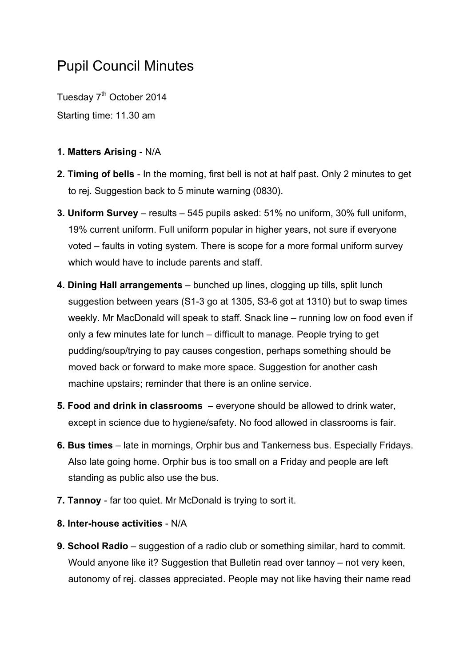## Pupil Council Minutes

Tuesday 7<sup>th</sup> October 2014 Starting time: 11.30 am

## **1. Matters Arising** - N/A

- **2. Timing of bells** In the morning, first bell is not at half past. Only 2 minutes to get to rej. Suggestion back to 5 minute warning (0830).
- **3. Uniform Survey** results 545 pupils asked: 51% no uniform, 30% full uniform, 19% current uniform. Full uniform popular in higher years, not sure if everyone voted – faults in voting system. There is scope for a more formal uniform survey which would have to include parents and staff.
- **4. Dining Hall arrangements** bunched up lines, clogging up tills, split lunch suggestion between years (S1-3 go at 1305, S3-6 got at 1310) but to swap times weekly. Mr MacDonald will speak to staff. Snack line – running low on food even if only a few minutes late for lunch – difficult to manage. People trying to get pudding/soup/trying to pay causes congestion, perhaps something should be moved back or forward to make more space. Suggestion for another cash machine upstairs; reminder that there is an online service.
- **5. Food and drink in classrooms** everyone should be allowed to drink water, except in science due to hygiene/safety. No food allowed in classrooms is fair.
- **6. Bus times** late in mornings, Orphir bus and Tankerness bus. Especially Fridays. Also late going home. Orphir bus is too small on a Friday and people are left standing as public also use the bus.
- **7. Tannoy** far too quiet. Mr McDonald is trying to sort it.
- **8. Inter-house activities** N/A
- **9. School Radio** suggestion of a radio club or something similar, hard to commit. Would anyone like it? Suggestion that Bulletin read over tannoy – not very keen, autonomy of rej. classes appreciated. People may not like having their name read